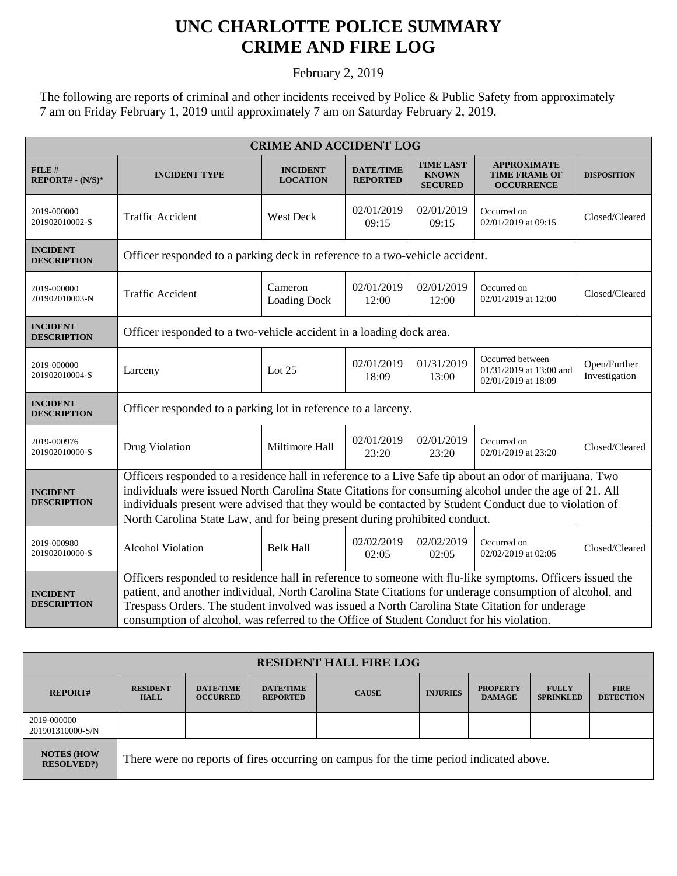## **UNC CHARLOTTE POLICE SUMMARY CRIME AND FIRE LOG**

February 2, 2019

The following are reports of criminal and other incidents received by Police & Public Safety from approximately 7 am on Friday February 1, 2019 until approximately 7 am on Saturday February 2, 2019.

| <b>CRIME AND ACCIDENT LOG</b>         |                                                                                                                                                                                                                                                                                                                                                                                                                   |                                    |                                     |                                                    |                                                                    |                               |  |
|---------------------------------------|-------------------------------------------------------------------------------------------------------------------------------------------------------------------------------------------------------------------------------------------------------------------------------------------------------------------------------------------------------------------------------------------------------------------|------------------------------------|-------------------------------------|----------------------------------------------------|--------------------------------------------------------------------|-------------------------------|--|
| FILE#<br>REPORT# - (N/S)*             | <b>INCIDENT TYPE</b>                                                                                                                                                                                                                                                                                                                                                                                              | <b>INCIDENT</b><br><b>LOCATION</b> | <b>DATE/TIME</b><br><b>REPORTED</b> | <b>TIME LAST</b><br><b>KNOWN</b><br><b>SECURED</b> | <b>APPROXIMATE</b><br><b>TIME FRAME OF</b><br><b>OCCURRENCE</b>    | <b>DISPOSITION</b>            |  |
| 2019-000000<br>201902010002-S         | <b>Traffic Accident</b>                                                                                                                                                                                                                                                                                                                                                                                           | <b>West Deck</b>                   | 02/01/2019<br>09:15                 | 02/01/2019<br>09:15                                | Occurred on<br>02/01/2019 at 09:15                                 | Closed/Cleared                |  |
| <b>INCIDENT</b><br><b>DESCRIPTION</b> | Officer responded to a parking deck in reference to a two-vehicle accident.                                                                                                                                                                                                                                                                                                                                       |                                    |                                     |                                                    |                                                                    |                               |  |
| 2019-000000<br>201902010003-N         | <b>Traffic Accident</b>                                                                                                                                                                                                                                                                                                                                                                                           | Cameron<br><b>Loading Dock</b>     | 02/01/2019<br>12:00                 | 02/01/2019<br>12:00                                | Occurred on<br>02/01/2019 at 12:00                                 | Closed/Cleared                |  |
| <b>INCIDENT</b><br><b>DESCRIPTION</b> | Officer responded to a two-vehicle accident in a loading dock area.                                                                                                                                                                                                                                                                                                                                               |                                    |                                     |                                                    |                                                                    |                               |  |
| 2019-000000<br>201902010004-S         | Larceny                                                                                                                                                                                                                                                                                                                                                                                                           | Lot 25                             | 02/01/2019<br>18:09                 | 01/31/2019<br>13:00                                | Occurred between<br>01/31/2019 at 13:00 and<br>02/01/2019 at 18:09 | Open/Further<br>Investigation |  |
| <b>INCIDENT</b><br><b>DESCRIPTION</b> | Officer responded to a parking lot in reference to a larceny.                                                                                                                                                                                                                                                                                                                                                     |                                    |                                     |                                                    |                                                                    |                               |  |
| 2019-000976<br>201902010000-S         | Drug Violation                                                                                                                                                                                                                                                                                                                                                                                                    | Miltimore Hall                     | 02/01/2019<br>23:20                 | 02/01/2019<br>23:20                                | Occurred on<br>02/01/2019 at 23:20                                 | Closed/Cleared                |  |
| <b>INCIDENT</b><br><b>DESCRIPTION</b> | Officers responded to a residence hall in reference to a Live Safe tip about an odor of marijuana. Two<br>individuals were issued North Carolina State Citations for consuming alcohol under the age of 21. All<br>individuals present were advised that they would be contacted by Student Conduct due to violation of<br>North Carolina State Law, and for being present during prohibited conduct.             |                                    |                                     |                                                    |                                                                    |                               |  |
| 2019-000980<br>201902010000-S         | Alcohol Violation                                                                                                                                                                                                                                                                                                                                                                                                 | <b>Belk Hall</b>                   | 02/02/2019<br>02:05                 | 02/02/2019<br>02:05                                | Occurred on<br>02/02/2019 at 02:05                                 | Closed/Cleared                |  |
| <b>INCIDENT</b><br><b>DESCRIPTION</b> | Officers responded to residence hall in reference to someone with flu-like symptoms. Officers issued the<br>patient, and another individual, North Carolina State Citations for underage consumption of alcohol, and<br>Trespass Orders. The student involved was issued a North Carolina State Citation for underage<br>consumption of alcohol, was referred to the Office of Student Conduct for his violation. |                                    |                                     |                                                    |                                                                    |                               |  |

| <b>RESIDENT HALL FIRE LOG</b>          |                                                                                         |                                     |                                     |              |                 |                                  |                                  |                                 |
|----------------------------------------|-----------------------------------------------------------------------------------------|-------------------------------------|-------------------------------------|--------------|-----------------|----------------------------------|----------------------------------|---------------------------------|
| <b>REPORT#</b>                         | <b>RESIDENT</b><br><b>HALL</b>                                                          | <b>DATE/TIME</b><br><b>OCCURRED</b> | <b>DATE/TIME</b><br><b>REPORTED</b> | <b>CAUSE</b> | <b>INJURIES</b> | <b>PROPERTY</b><br><b>DAMAGE</b> | <b>FULLY</b><br><b>SPRINKLED</b> | <b>FIRE</b><br><b>DETECTION</b> |
| 2019-000000<br>201901310000-S/N        |                                                                                         |                                     |                                     |              |                 |                                  |                                  |                                 |
| <b>NOTES (HOW</b><br><b>RESOLVED?)</b> | There were no reports of fires occurring on campus for the time period indicated above. |                                     |                                     |              |                 |                                  |                                  |                                 |